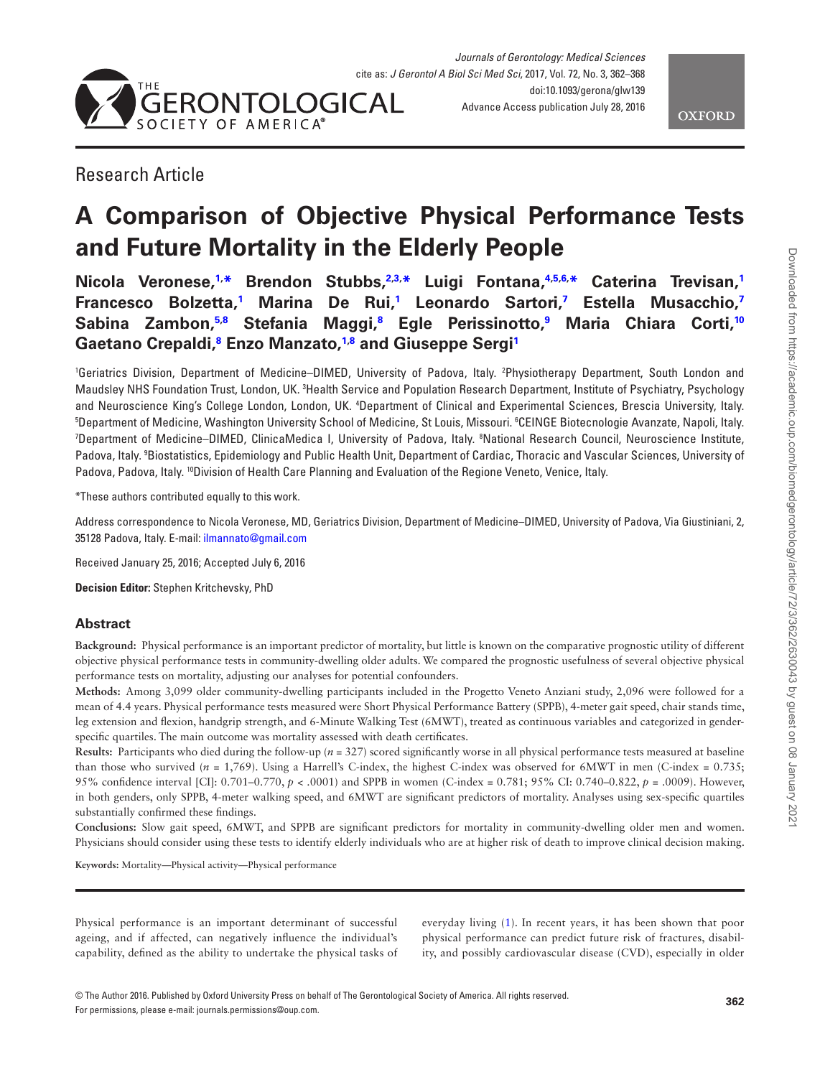



Research Article

# **A Comparison of Objective Physical Performance Tests and Future Mortality in the Elderly People**

**Nicola Veronese[,1](#page-0-0), [\\*](#page-0-1) Brendon Stubbs[,2](#page-0-2)[,3](#page-0-3), [\\*](#page-0-1) Luigi Fontana,[4,](#page-0-4)[5,](#page-0-5)[6,](#page-0-6) [\\*](#page-0-1) Caterina Trevisan,[1](#page-0-0) Francesco Bolzetta,[1](#page-0-0) Marina De Rui,[1](#page-0-0) Leonardo Sartori,[7](#page-0-7) Estella Musacchio,[7](#page-0-7) Sabina Zambon,[5,](#page-0-5)[8](#page-0-8) Stefania Maggi[,8](#page-0-8) Egle Perissinotto,[9](#page-0-9) Maria Chiara Corti[,10](#page-0-10) Gaetano Crepaldi,[8](#page-0-8) Enzo Manzato[,1](#page-0-0),[8](#page-0-8) and Giuseppe Sergi[1](#page-0-0)**

<span id="page-0-6"></span><span id="page-0-5"></span><span id="page-0-4"></span><span id="page-0-3"></span><span id="page-0-2"></span><span id="page-0-0"></span>1 Geriatrics Division, Department of Medicine–DIMED, University of Padova, Italy. 2 Physiotherapy Department, South London and Maudsley NHS Foundation Trust, London, UK. <sup>3</sup>Health Service and Population Research Department, Institute of Psychiatry, Psychology and Neuroscience King's College London, London, UK. <sup>4</sup>Department of Clinical and Experimental Sciences, Brescia University, Italy. 5 Department of Medicine, Washington University School of Medicine, St Louis, Missouri. 6 CEINGE Biotecnologie Avanzate, Napoli, Italy. 7 Department of Medicine–DIMED, ClinicaMedica I, University of Padova, Italy. 8 National Research Council, Neuroscience Institute, Padova, Italy. 9 Biostatistics, Epidemiology and Public Health Unit, Department of Cardiac, Thoracic and Vascular Sciences, University of Padova, Padova, Italy. <sup>10</sup>Division of Health Care Planning and Evaluation of the Regione Veneto, Venice, Italy.

<span id="page-0-10"></span><span id="page-0-9"></span><span id="page-0-8"></span><span id="page-0-7"></span>\*These authors contributed equally to this work.

Address correspondence to Nicola Veronese, MD, Geriatrics Division, Department of Medicine–DIMED, University of Padova, Via Giustiniani, 2, 35128 Padova, Italy. E-mail: [ilmannato@gmail.com](mailto:ilmannato@gmail.com?subject=)

Received January 25, 2016; Accepted July 6, 2016

<span id="page-0-1"></span>**Decision Editor:** Stephen Kritchevsky, PhD

# **Abstract**

**Background:** Physical performance is an important predictor of mortality, but little is known on the comparative prognostic utility of different objective physical performance tests in community-dwelling older adults. We compared the prognostic usefulness of several objective physical performance tests on mortality, adjusting our analyses for potential confounders.

**Methods:** Among 3,099 older community-dwelling participants included in the Progetto Veneto Anziani study, 2,096 were followed for a mean of 4.4 years. Physical performance tests measured were Short Physical Performance Battery (SPPB), 4-meter gait speed, chair stands time, leg extension and flexion, handgrip strength, and 6-Minute Walking Test (6MWT), treated as continuous variables and categorized in genderspecific quartiles. The main outcome was mortality assessed with death certificates.

**Results:** Participants who died during the follow-up (*n* = 327) scored significantly worse in all physical performance tests measured at baseline than those who survived ( $n = 1,769$ ). Using a Harrell's C-index, the highest C-index was observed for 6MWT in men (C-index = 0.735; 95% confidence interval [CI]: 0.701–0.770, *p* < .0001) and SPPB in women (C-index = 0.781; 95% CI: 0.740–0.822, *p* = .0009). However, in both genders, only SPPB, 4-meter walking speed, and 6MWT are significant predictors of mortality. Analyses using sex-specific quartiles substantially confirmed these findings.

**Conclusions:** Slow gait speed, 6MWT, and SPPB are significant predictors for mortality in community-dwelling older men and women. Physicians should consider using these tests to identify elderly individuals who are at higher risk of death to improve clinical decision making.

**Keywords:** Mortality—Physical activity—Physical performance

Physical performance is an important determinant of successful ageing, and if affected, can negatively influence the individual's capability, defined as the ability to undertake the physical tasks of

everyday living ([1](#page-5-0)). In recent years, it has been shown that poor physical performance can predict future risk of fractures, disability, and possibly cardiovascular disease (CVD), especially in older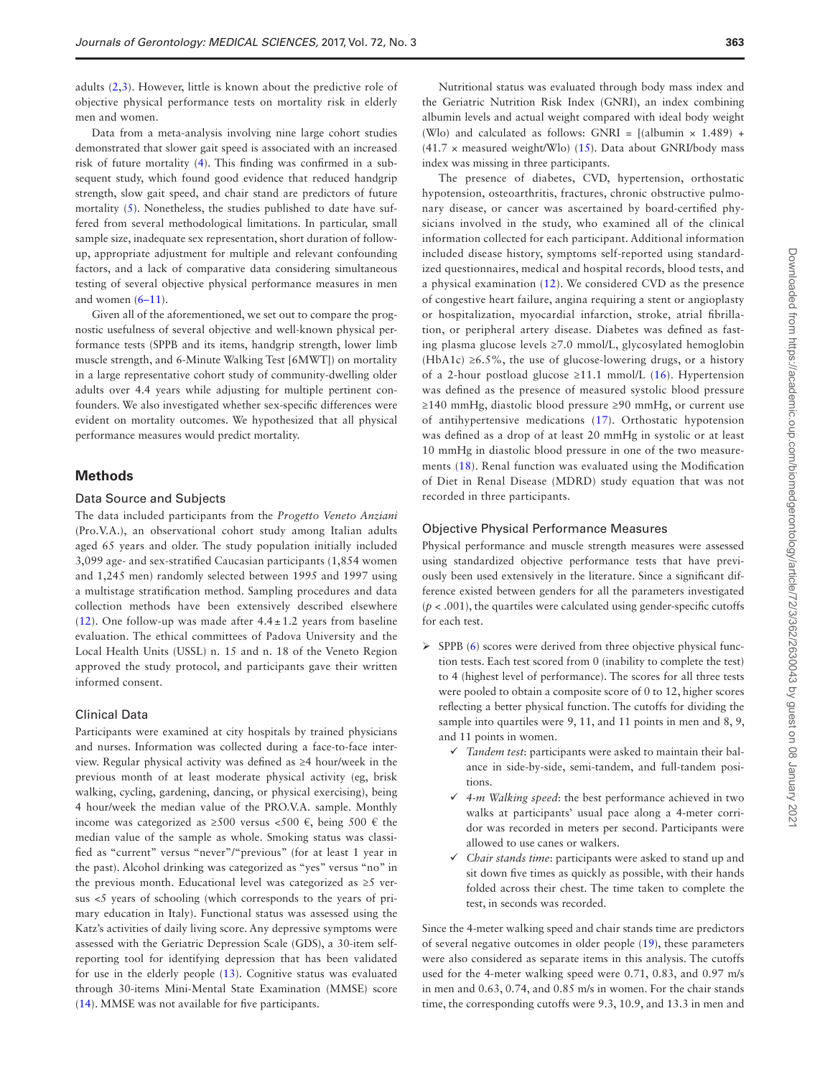adults ([2](#page-5-1)[,3\)](#page-5-2). However, little is known about the predictive role of objective physical performance tests on mortality risk in elderly men and women.

Data from a meta-analysis involving nine large cohort studies demonstrated that slower gait speed is associated with an increased risk of future mortality ([4](#page-5-3)). This finding was confirmed in a subsequent study, which found good evidence that reduced handgrip strength, slow gait speed, and chair stand are predictors of future mortality [\(5\)](#page-5-4). Nonetheless, the studies published to date have suffered from several methodological limitations. In particular, small sample size, inadequate sex representation, short duration of followup, appropriate adjustment for multiple and relevant confounding factors, and a lack of comparative data considering simultaneous testing of several objective physical performance measures in men and women  $(6-11)$ .

Given all of the aforementioned, we set out to compare the prognostic usefulness of several objective and well-known physical performance tests (SPPB and its items, handgrip strength, lower limb muscle strength, and 6-Minute Walking Test [6MWT]) on mortality in a large representative cohort study of community-dwelling older adults over 4.4 years while adjusting for multiple pertinent confounders. We also investigated whether sex-specific differences were evident on mortality outcomes. We hypothesized that all physical performance measures would predict mortality.

# **Methods**

## Data Source and Subjects

The data included participants from the *Progetto Veneto Anziani* (Pro.V.A.), an observational cohort study among Italian adults aged 65 years and older. The study population initially included 3,099 age- and sex-stratified Caucasian participants (1,854 women and 1,245 men) randomly selected between 1995 and 1997 using a multistage stratification method. Sampling procedures and data collection methods have been extensively described elsewhere [\(12](#page-6-1)). One follow-up was made after  $4.4 \pm 1.2$  years from baseline evaluation. The ethical committees of Padova University and the Local Health Units (USSL) n. 15 and n. 18 of the Veneto Region approved the study protocol, and participants gave their written informed consent.

#### Clinical Data

Participants were examined at city hospitals by trained physicians and nurses. Information was collected during a face-to-face interview. Regular physical activity was defined as ≥4 hour/week in the previous month of at least moderate physical activity (eg, brisk walking, cycling, gardening, dancing, or physical exercising), being 4 hour/week the median value of the PRO.V.A. sample. Monthly income was categorized as ≥500 versus <500 €, being 500 € the median value of the sample as whole. Smoking status was classified as "current" versus "never"/"previous" (for at least 1 year in the past). Alcohol drinking was categorized as "yes" versus "no" in the previous month. Educational level was categorized as ≥5 versus <5 years of schooling (which corresponds to the years of primary education in Italy). Functional status was assessed using the Katz's activities of daily living score. Any depressive symptoms were assessed with the Geriatric Depression Scale (GDS), a 30-item selfreporting tool for identifying depression that has been validated for use in the elderly people [\(13\)](#page-6-2). Cognitive status was evaluated through 30-items Mini-Mental State Examination (MMSE) score [\(14](#page-6-3)). MMSE was not available for five participants.

The presence of diabetes, CVD, hypertension, orthostatic hypotension, osteoarthritis, fractures, chronic obstructive pulmonary disease, or cancer was ascertained by board-certified physicians involved in the study, who examined all of the clinical information collected for each participant. Additional information included disease history, symptoms self-reported using standardized questionnaires, medical and hospital records, blood tests, and a physical examination ([12](#page-6-1)). We considered CVD as the presence of congestive heart failure, angina requiring a stent or angioplasty or hospitalization, myocardial infarction, stroke, atrial fibrillation, or peripheral artery disease. Diabetes was defined as fasting plasma glucose levels ≥7.0 mmol/L, glycosylated hemoglobin (HbA1c)  $\geq 6.5\%$ , the use of glucose-lowering drugs, or a history of a 2-hour postload glucose  $\geq 11.1$  mmol/L [\(16](#page-6-5)). Hypertension was defined as the presence of measured systolic blood pressure ≥140 mmHg, diastolic blood pressure ≥90 mmHg, or current use of antihypertensive medications ([17\)](#page-6-6). Orthostatic hypotension was defined as a drop of at least 20 mmHg in systolic or at least 10 mmHg in diastolic blood pressure in one of the two measurements [\(18](#page-6-7)). Renal function was evaluated using the Modification of Diet in Renal Disease (MDRD) study equation that was not recorded in three participants.

# Objective Physical Performance Measures

Physical performance and muscle strength measures were assessed using standardized objective performance tests that have previously been used extensively in the literature. Since a significant difference existed between genders for all the parameters investigated  $(p < .001)$ , the quartiles were calculated using gender-specific cutoffs for each test.

- $\triangleright$  SPPB [\(6\)](#page-6-0) scores were derived from three objective physical function tests. Each test scored from 0 (inability to complete the test) to 4 (highest level of performance). The scores for all three tests were pooled to obtain a composite score of 0 to 12, higher scores reflecting a better physical function. The cutoffs for dividing the sample into quartiles were 9, 11, and 11 points in men and 8, 9, and 11 points in women.
	- *Tandem test*: participants were asked to maintain their balance in side-by-side, semi-tandem, and full-tandem positions.
	- *4-m Walking speed*: the best performance achieved in two walks at participants' usual pace along a 4-meter corridor was recorded in meters per second. Participants were allowed to use canes or walkers.
	- *Chair stands time*: participants were asked to stand up and sit down five times as quickly as possible, with their hands folded across their chest. The time taken to complete the test, in seconds was recorded.

Since the 4-meter walking speed and chair stands time are predictors of several negative outcomes in older people [\(19](#page-6-8)), these parameters were also considered as separate items in this analysis. The cutoffs used for the 4-meter walking speed were 0.71, 0.83, and 0.97 m/s in men and 0.63, 0.74, and 0.85 m/s in women. For the chair stands time, the corresponding cutoffs were 9.3, 10.9, and 13.3 in men and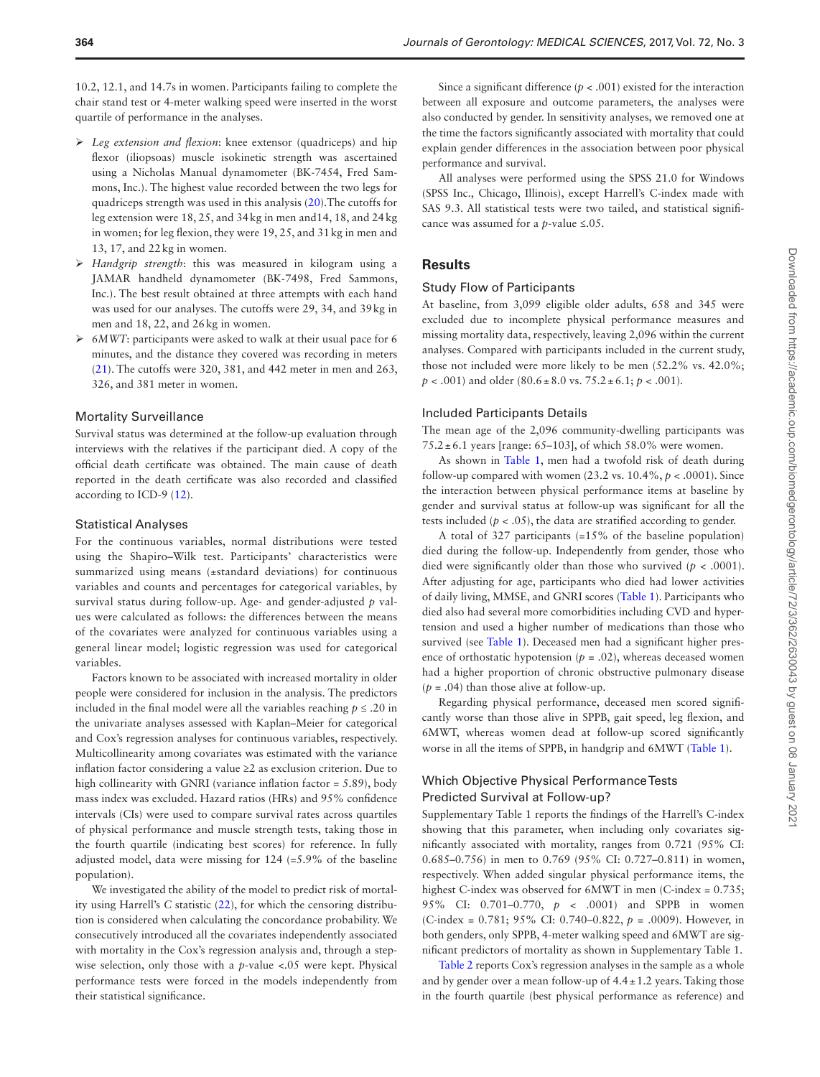10.2, 12.1, and 14.7s in women. Participants failing to complete the chair stand test or 4-meter walking speed were inserted in the worst quartile of performance in the analyses.

- *Leg extension and flexion*: knee extensor (quadriceps) and hip flexor (iliopsoas) muscle isokinetic strength was ascertained using a Nicholas Manual dynamometer (BK-7454, Fred Sammons, Inc.). The highest value recorded between the two legs for quadriceps strength was used in this analysis ([20\)](#page-6-9).The cutoffs for leg extension were 18, 25, and 34kg in men and14, 18, and 24kg in women; for leg flexion, they were 19, 25, and 31kg in men and 13, 17, and 22kg in women.
- *Handgrip strength*: this was measured in kilogram using a JAMAR handheld dynamometer (BK-7498, Fred Sammons, Inc.). The best result obtained at three attempts with each hand was used for our analyses. The cutoffs were 29, 34, and 39kg in men and 18, 22, and 26kg in women.
- *6MWT*: participants were asked to walk at their usual pace for 6 minutes, and the distance they covered was recording in meters [\(21](#page-6-10)). The cutoffs were 320, 381, and 442 meter in men and 263, 326, and 381 meter in women.

#### Mortality Surveillance

Survival status was determined at the follow-up evaluation through interviews with the relatives if the participant died. A copy of the official death certificate was obtained. The main cause of death reported in the death certificate was also recorded and classified according to ICD-9 ([12\)](#page-6-1).

#### Statistical Analyses

For the continuous variables, normal distributions were tested using the Shapiro–Wilk test. Participants' characteristics were summarized using means (±standard deviations) for continuous variables and counts and percentages for categorical variables, by survival status during follow-up. Age- and gender-adjusted *p* values were calculated as follows: the differences between the means of the covariates were analyzed for continuous variables using a general linear model; logistic regression was used for categorical variables.

Factors known to be associated with increased mortality in older people were considered for inclusion in the analysis. The predictors included in the final model were all the variables reaching  $p \leq .20$  in the univariate analyses assessed with Kaplan–Meier for categorical and Cox's regression analyses for continuous variables, respectively. Multicollinearity among covariates was estimated with the variance inflation factor considering a value ≥2 as exclusion criterion. Due to high collinearity with GNRI (variance inflation factor = 5.89), body mass index was excluded. Hazard ratios (HRs) and 95% confidence intervals (CIs) were used to compare survival rates across quartiles of physical performance and muscle strength tests, taking those in the fourth quartile (indicating best scores) for reference. In fully adjusted model, data were missing for 124 (=5.9% of the baseline population).

We investigated the ability of the model to predict risk of mortality using Harrell's *C* statistic ([22](#page-6-11)), for which the censoring distribution is considered when calculating the concordance probability. We consecutively introduced all the covariates independently associated with mortality in the Cox's regression analysis and, through a stepwise selection, only those with a *p*-value <.05 were kept. Physical performance tests were forced in the models independently from their statistical significance.

Since a significant difference  $(p < .001)$  existed for the interaction between all exposure and outcome parameters, the analyses were also conducted by gender. In sensitivity analyses, we removed one at the time the factors significantly associated with mortality that could explain gender differences in the association between poor physical performance and survival.

All analyses were performed using the SPSS 21.0 for Windows (SPSS Inc., Chicago, Illinois), except Harrell's C-index made with SAS 9.3. All statistical tests were two tailed, and statistical significance was assumed for a *p*-value ≤.05.

# **Results**

#### Study Flow of Participants

At baseline, from 3,099 eligible older adults, 658 and 345 were excluded due to incomplete physical performance measures and missing mortality data, respectively, leaving 2,096 within the current analyses. Compared with participants included in the current study, those not included were more likely to be men (52.2% vs. 42.0%; *p* < .001) and older (80.6±8.0 vs. 75.2±6.1; *p* < .001).

# Included Participants Details

The mean age of the 2,096 community-dwelling participants was  $75.2 \pm 6.1$  years [range: 65–103], of which 58.0% were women.

As shown in [Table 1,](#page-3-0) men had a twofold risk of death during follow-up compared with women (23.2 vs. 10.4%, *p* < .0001). Since the interaction between physical performance items at baseline by gender and survival status at follow-up was significant for all the tests included  $(p < .05)$ , the data are stratified according to gender.

A total of 327 participants (=15% of the baseline population) died during the follow-up. Independently from gender, those who died were significantly older than those who survived (*p* < .0001). After adjusting for age, participants who died had lower activities of daily living, MMSE, and GNRI scores ([Table 1\)](#page-3-0). Participants who died also had several more comorbidities including CVD and hypertension and used a higher number of medications than those who survived (see [Table 1\)](#page-3-0). Deceased men had a significant higher presence of orthostatic hypotension  $(p = .02)$ , whereas deceased women had a higher proportion of chronic obstructive pulmonary disease  $(p = .04)$  than those alive at follow-up.

Regarding physical performance, deceased men scored significantly worse than those alive in SPPB, gait speed, leg flexion, and 6MWT, whereas women dead at follow-up scored significantly worse in all the items of SPPB, in handgrip and 6MWT ([Table 1](#page-3-0)).

# Which Objective Physical Performance Tests Predicted Survival at Follow-up?

Supplementary Table 1 reports the findings of the Harrell's C-index showing that this parameter, when including only covariates significantly associated with mortality, ranges from 0.721 (95% CI: 0.685–0.756) in men to 0.769 (95% CI: 0.727–0.811) in women, respectively. When added singular physical performance items, the highest C-index was observed for 6MWT in men (C-index = 0.735; 95% CI: 0.701–0.770, *p* < .0001) and SPPB in women (C-index = 0.781; 95% CI: 0.740–0.822, *p* = .0009). However, in both genders, only SPPB, 4-meter walking speed and 6MWT are significant predictors of mortality as shown in Supplementary Table 1.

[Table 2](#page-4-0) reports Cox's regression analyses in the sample as a whole and by gender over a mean follow-up of  $4.4 \pm 1.2$  years. Taking those in the fourth quartile (best physical performance as reference) and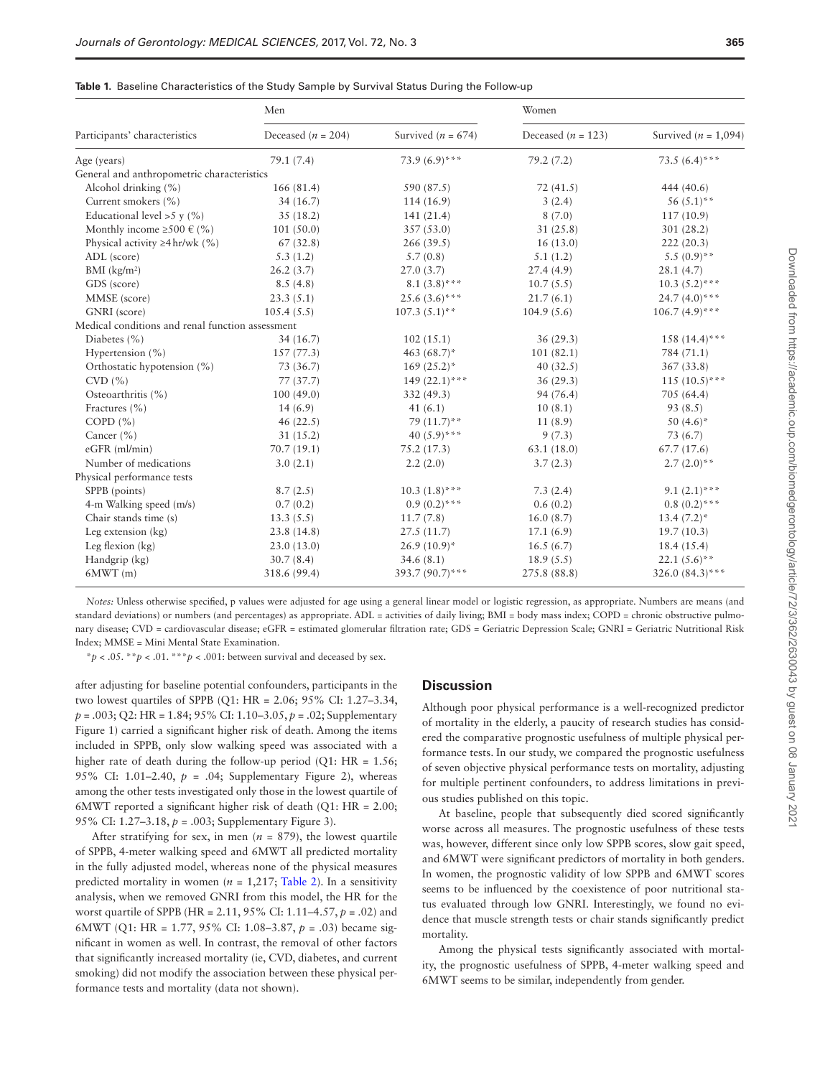<span id="page-3-0"></span>

|  |  |  |  |  |  | Table 1. Baseline Characteristics of the Study Sample by Survival Status During the Follow-up |
|--|--|--|--|--|--|-----------------------------------------------------------------------------------------------|
|--|--|--|--|--|--|-----------------------------------------------------------------------------------------------|

|                                                  | Men                  |                      | Women                  |                          |
|--------------------------------------------------|----------------------|----------------------|------------------------|--------------------------|
| Participants' characteristics                    | Deceased $(n = 204)$ | Survived $(n = 674)$ | Deceased ( $n = 123$ ) | Survived ( $n = 1,094$ ) |
| Age (years)                                      | 79.1(7.4)            | $73.9(6.9)***$       | 79.2(7.2)              | 73.5 $(6.4)$ ***         |
| General and anthropometric characteristics       |                      |                      |                        |                          |
| Alcohol drinking $(\% )$                         | 166(81.4)            | 590 (87.5)           | 72(41.5)               | 444 (40.6)               |
| Current smokers (%)                              | 34(16.7)             | 114(16.9)            | 3(2.4)                 | 56 $(5.1)$ **            |
| Educational level $>5$ y (%)                     | 35(18.2)             | 141 (21.4)           | 8(7.0)                 | 117(10.9)                |
| Monthly income $\geq 500 \in (%$                 | 101(50.0)            | 357(53.0)            | 31(25.8)               | 301(28.2)                |
| Physical activity $\geq 4$ hr/wk (%)             | 67(32.8)             | 266(39.5)            | 16(13.0)               | 222(20.3)                |
| ADL (score)                                      | 5.3(1.2)             | 5.7(0.8)             | 5.1(1.2)               | 5.5 $(0.9)$ **           |
| BMI $(kg/m2)$                                    | 26.2(3.7)            | 27.0(3.7)            | 27.4(4.9)              | 28.1(4.7)                |
| GDS (score)                                      | 8.5(4.8)             | $8.1(3.8)$ ***       | 10.7(5.5)              | $10.3(5.2)$ ***          |
| MMSE (score)                                     | 23.3(5.1)            | $25.6(3.6)$ ***      | 21.7(6.1)              | 24.7 $(4.0)$ ***         |
| GNRI (score)                                     | 105.4(5.5)           | $107.3(5.1)$ **      | 104.9(5.6)             | $106.7(4.9)$ ***         |
| Medical conditions and renal function assessment |                      |                      |                        |                          |
| Diabetes $(\% )$                                 | 34(16.7)             | 102(15.1)            | 36(29.3)               | $158(14.4)$ ***          |
| Hypertension $(\% )$                             | 157(77.3)            | 463 $(68.7)^*$       | 101(82.1)              | 784 (71.1)               |
| Orthostatic hypotension (%)                      | 73 (36.7)            | $169(25.2)^*$        | 40(32.5)               | 367(33.8)                |
| CVD(% )                                          | 77(37.7)             | $149(22.1)***$       | 36(29.3)               | $115(10.5)***$           |
| Osteoarthritis (%)                               | 100(49.0)            | 332 (49.3)           | 94 (76.4)              | 705 (64.4)               |
| Fractures (%)                                    | 14(6.9)              | 41(6.1)              | 10(8.1)                | 93 (8.5)                 |
| COPD $(\% )$                                     | 46(22.5)             | 79 $(11.7)$ **       | 11(8.9)                | $50(4.6)$ *              |
| Cancer $(\% )$                                   | 31(15.2)             | 40 $(5.9)$ ***       | 9(7.3)                 | 73(6.7)                  |
| eGFR (ml/min)                                    | 70.7(19.1)           | 75.2(17.3)           | 63.1(18.0)             | 67.7(17.6)               |
| Number of medications                            | 3.0(2.1)             | 2.2(2.0)             | 3.7(2.3)               | $2.7(2.0)**$             |
| Physical performance tests                       |                      |                      |                        |                          |
| SPPB (points)                                    | 8.7(2.5)             | $10.3(1.8)$ ***      | 7.3(2.4)               | $9.1(2.1)$ ***           |
| 4-m Walking speed (m/s)                          | 0.7(0.2)             | $0.9(0.2)$ ***       | 0.6(0.2)               | $0.8(0.2)$ ***           |
| Chair stands time (s)                            | 13.3(5.5)            | 11.7(7.8)            | 16.0(8.7)              | $13.4(7.2)^*$            |
| Leg extension (kg)                               | 23.8(14.8)           | 27.5(11.7)           | 17.1(6.9)              | 19.7(10.3)               |
| Leg flexion (kg)                                 | 23.0(13.0)           | $26.9(10.9)^*$       | 16.5(6.7)              | 18.4 (15.4)              |
| Handgrip (kg)                                    | 30.7(8.4)            | 34.6(8.1)            | 18.9(5.5)              | 22.1 $(5.6)$ **          |
| 6MWT(m)                                          | 318.6 (99.4)         | 393.7 (90.7)***      | 275.8 (88.8)           | 326.0 $(84.3)$ ***       |

*Notes:* Unless otherwise specified, p values were adjusted for age using a general linear model or logistic regression, as appropriate. Numbers are means (and standard deviations) or numbers (and percentages) as appropriate. ADL = activities of daily living; BMI = body mass index; COPD = chronic obstructive pulmonary disease; CVD = cardiovascular disease; eGFR = estimated glomerular filtration rate; GDS = Geriatric Depression Scale; GNRI = Geriatric Nutritional Risk Index; MMSE = Mini Mental State Examination.

 $*p < .05.$  \*\**p* < .01. \*\*\**p* < .001: between survival and deceased by sex.

after adjusting for baseline potential confounders, participants in the two lowest quartiles of SPPB (Q1: HR = 2.06; 95% CI: 1.27–3.34, *p* = .003; Q2: HR = 1.84; 95% CI: 1.10–3.05, *p* = .02; Supplementary Figure 1) carried a significant higher risk of death. Among the items included in SPPB, only slow walking speed was associated with a higher rate of death during the follow-up period (Q1: HR = 1.56; 95% CI: 1.01-2.40,  $p = .04$ ; Supplementary Figure 2), whereas among the other tests investigated only those in the lowest quartile of 6MWT reported a significant higher risk of death (Q1: HR = 2.00; 95% CI: 1.27–3.18, *p* = .003; Supplementary Figure 3).

After stratifying for sex, in men ( $n = 879$ ), the lowest quartile of SPPB, 4-meter walking speed and 6MWT all predicted mortality in the fully adjusted model, whereas none of the physical measures predicted mortality in women ( $n = 1,217$ ; [Table 2](#page-4-0)). In a sensitivity analysis, when we removed GNRI from this model, the HR for the worst quartile of SPPB (HR = 2.11, 95% CI: 1.11–4.57, *p* = .02) and 6MWT (Q1: HR = 1.77, 95% CI: 1.08–3.87, *p* = .03) became significant in women as well. In contrast, the removal of other factors that significantly increased mortality (ie, CVD, diabetes, and current smoking) did not modify the association between these physical performance tests and mortality (data not shown).

# **Discussion**

Although poor physical performance is a well-recognized predictor of mortality in the elderly, a paucity of research studies has considered the comparative prognostic usefulness of multiple physical performance tests. In our study, we compared the prognostic usefulness of seven objective physical performance tests on mortality, adjusting for multiple pertinent confounders, to address limitations in previous studies published on this topic.

At baseline, people that subsequently died scored significantly worse across all measures. The prognostic usefulness of these tests was, however, different since only low SPPB scores, slow gait speed, and 6MWT were significant predictors of mortality in both genders. In women, the prognostic validity of low SPPB and 6MWT scores seems to be influenced by the coexistence of poor nutritional status evaluated through low GNRI. Interestingly, we found no evidence that muscle strength tests or chair stands significantly predict mortality.

Among the physical tests significantly associated with mortality, the prognostic usefulness of SPPB, 4-meter walking speed and 6MWT seems to be similar, independently from gender.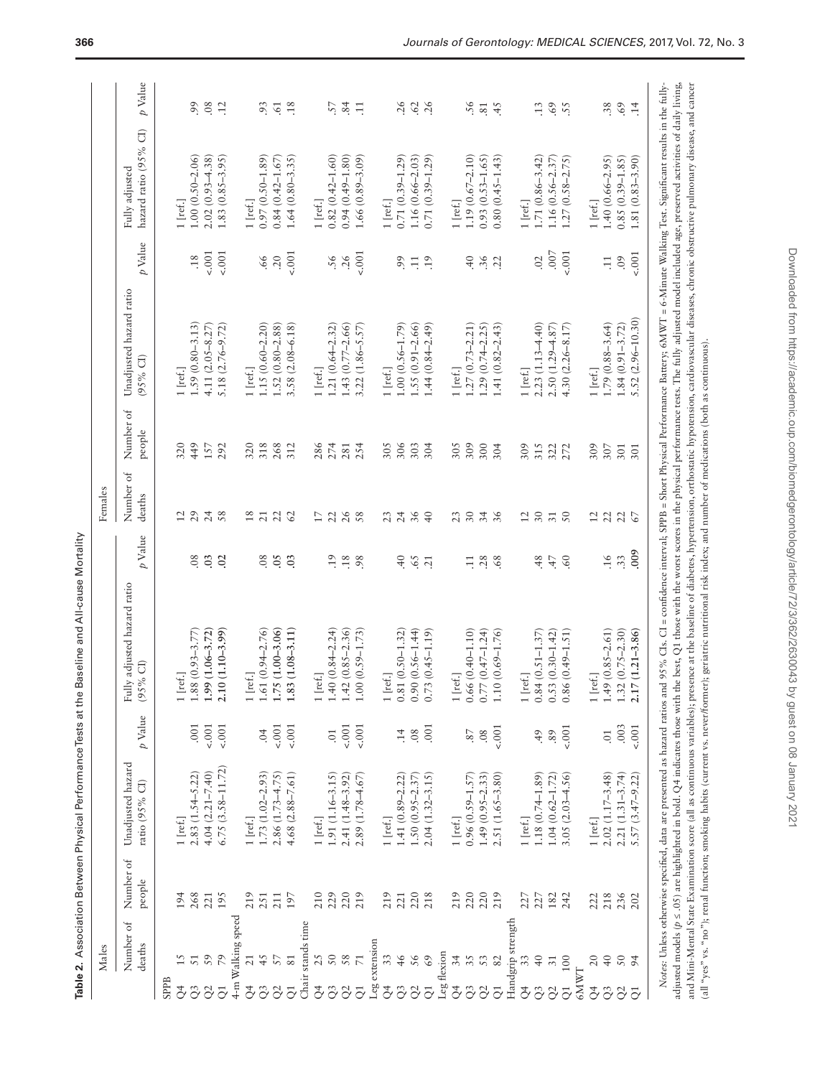<span id="page-4-0"></span>

| $\frac{1}{2}$                  |
|--------------------------------|
|                                |
| $\ddot{\phantom{0}}$           |
|                                |
|                                |
|                                |
|                                |
|                                |
| í                              |
| ı                              |
|                                |
|                                |
|                                |
| , at the $\sim$                |
|                                |
| $\frac{1}{2}$<br>$\frac{1}{2}$ |
| ı                              |
|                                |
|                                |
|                                |
|                                |
|                                |
|                                |
|                                |
| l                              |
|                                |
| $\vdots$                       |
| $\mathbf{I}$                   |
| -- - - - -                     |
| i                              |
|                                |
|                                |
| :                              |
|                                |
|                                |
| $\vdots$<br>l                  |
|                                |
|                                |
|                                |
|                                |
|                                |
|                                |
|                                |
| N                              |
|                                |

|                      | Males               |                     |                                                                                  |                  |                                                                                                                                                                                                                                                                                                                                                                                                      |                 | Females             |                     |                                                                                                                                                          |              |                                                           |                 |
|----------------------|---------------------|---------------------|----------------------------------------------------------------------------------|------------------|------------------------------------------------------------------------------------------------------------------------------------------------------------------------------------------------------------------------------------------------------------------------------------------------------------------------------------------------------------------------------------------------------|-----------------|---------------------|---------------------|----------------------------------------------------------------------------------------------------------------------------------------------------------|--------------|-----------------------------------------------------------|-----------------|
|                      | Number of<br>deaths | Number of<br>people | Unadjusted hazard<br>ratio (95% CI)                                              | $p$ Value        | Fully adjusted hazard ratio<br>(95% CI)                                                                                                                                                                                                                                                                                                                                                              | $p$ Value       | Number of<br>deaths | Number of<br>people | Unadjusted hazard ratio<br>$(95\% \text{ CI})$                                                                                                           | $p$ Value    | $\widehat{\sigma}$<br>hazard ratio (95%<br>Fully adjusted | p Value         |
| SPPB                 |                     |                     |                                                                                  |                  |                                                                                                                                                                                                                                                                                                                                                                                                      |                 |                     |                     |                                                                                                                                                          |              |                                                           |                 |
| $\mathcal{O}^4$      | 15                  | 194                 | $1$ [ref.]                                                                       |                  | [ref.]                                                                                                                                                                                                                                                                                                                                                                                               |                 | 12                  | 320                 | $1$ [ref.]                                                                                                                                               |              | $1$ [ref.]                                                |                 |
| $\overline{Q}$       | $\overline{51}$     | 268                 | 2.83 (1.54-5.22)                                                                 | .001             | $.88(0.93 - 3.77)$                                                                                                                                                                                                                                                                                                                                                                                   | 08              | 29                  | 449                 | $1.59(0.80 - 3.13)$                                                                                                                                      | .18          | $1.00(0.50 - 2.06)$                                       | 99              |
| $\mathcal{Q}^2$      | 59                  | 221                 | $4.04(2.21 - 7.40)$                                                              | 1001             | .99 (1.06-3.72)                                                                                                                                                                                                                                                                                                                                                                                      | $\overline{0}$  | 24                  | 157                 | 4.11 (2.05-8.27                                                                                                                                          | $_{0.001}$   | $2.02(0.93 - 4.38)$                                       | .08             |
| $\overline{O}$       | $\sqrt{2}$          | 195                 | 6.75 (3.58-11.72)                                                                | 5001             | $.10(1.10 - 3.99)$<br>$\mathbf{\Omega}$                                                                                                                                                                                                                                                                                                                                                              | $\overline{c}$  | 58                  | 292                 | 5.18 (2.76-9.72                                                                                                                                          | 5001         | $1.83(0.85 - 3.95)$                                       | $\overline{12}$ |
|                      | 4-m Walking speed   |                     |                                                                                  |                  |                                                                                                                                                                                                                                                                                                                                                                                                      |                 |                     |                     |                                                                                                                                                          |              |                                                           |                 |
| $\beta$              | $21\,$              | 219                 | $1$ [ref.]                                                                       |                  | $[\mathrm{ref.}]$                                                                                                                                                                                                                                                                                                                                                                                    |                 | $18\,$              | 320                 | $1$ [ref.]                                                                                                                                               |              | $1$ [ref.]                                                |                 |
| $\Im$                | 45                  | 251                 | 1.73 (1.02-2.93)                                                                 | 04               | $.61(0.94 - 2.76)$                                                                                                                                                                                                                                                                                                                                                                                   | 08              | $\overline{21}$     | 318                 | $1.15(0.60 - 2.20)$                                                                                                                                      | 99.          | $0.97(0.50 - 1.89)$                                       | .93             |
| $\mathcal{Q}^2$      | 57                  | 211                 | 2.86 (1.73-4.75)                                                                 | 5001             | $.75(1.00 - 3.06)$                                                                                                                                                                                                                                                                                                                                                                                   | 05              | 22                  | 268                 | $1.52(0.80 - 2.88)$                                                                                                                                      | 20           | $0.84(0.42 - 1.67)$                                       | $\ddot{\circ}$  |
| $\overline{O}$       | $\rm 81$            | 197                 | $4.68(2.88 - 7.61)$                                                              | 5001             | .83 (1.08-3.11)                                                                                                                                                                                                                                                                                                                                                                                      | 0 <sup>3</sup>  | $\mathcal{C}$       | 312                 | 3.58 (2.08-6.18)                                                                                                                                         | 5001         | $1.64(0.80-3.35)$                                         | .18             |
|                      | Chair stands time   |                     |                                                                                  |                  |                                                                                                                                                                                                                                                                                                                                                                                                      |                 |                     |                     |                                                                                                                                                          |              |                                                           |                 |
| $\mathcal{L}$        | 25                  | 210                 | $1$ [ref.]                                                                       |                  | $[\mathrm{ref.}]$                                                                                                                                                                                                                                                                                                                                                                                    |                 | 17                  | 286                 | $1$ [ref.]                                                                                                                                               |              | $1$ [ref.]                                                |                 |
| $\Im$                | 50                  | 229                 | $1.91(1.16-3.15)$                                                                | $\overline{0}$ . | $.40(0.84 - 2.24)$                                                                                                                                                                                                                                                                                                                                                                                   | .19             |                     | 274                 | $1.21(0.64 - 2.32)$                                                                                                                                      | .56          | $0.82(0.42 - 1.60)$                                       | 57              |
| $\Im$                | 58                  | 220                 | 2.41 (1.48-3.92                                                                  | 5001             | $1.42(0.85 - 2.36)$                                                                                                                                                                                                                                                                                                                                                                                  | .18             | 216                 | 281                 | 1.43 (0.77-2.66)                                                                                                                                         | .26          | $0.94(0.49 - 1.80)$                                       | .84             |
| $\overline{Q}$       | $\overline{7}$      | 219                 | $2.89(1.78 - 4.67)$                                                              | 5001             | $.00(0.59 - 1.73)$                                                                                                                                                                                                                                                                                                                                                                                   | 98              |                     | 254                 | $3.22(1.86 - 5.57)$                                                                                                                                      | 5001         | $1.66(0.89 - 3.09)$                                       | $\Xi$           |
|                      | Leg extension       |                     |                                                                                  |                  |                                                                                                                                                                                                                                                                                                                                                                                                      |                 |                     |                     |                                                                                                                                                          |              |                                                           |                 |
| $\breve{Q}$          | 33                  | 219                 | $1$ [ref.]                                                                       |                  | $[\mathrm{ref.}]$                                                                                                                                                                                                                                                                                                                                                                                    |                 |                     | 305                 | $1$ [ref.]                                                                                                                                               |              | $1$ [ref.]                                                |                 |
| $\widetilde{Q}$      | 46                  | 221                 | $1.41(0.89 - 2.22)$                                                              | $\overline{14}$  | $0.81(0.50 - 1.32)$                                                                                                                                                                                                                                                                                                                                                                                  | $\ddot{=}$      | 2348                | 306                 | $1.00(0.56 - 1.79)$                                                                                                                                      | 99           | $0.71(0.39 - 1.29)$                                       | 26              |
| $\Omega$             | 56                  | 220                 | $1.50(0.95 - 2.37)$                                                              | .08              | $0.90(0.56 - 1.44)$                                                                                                                                                                                                                                                                                                                                                                                  | 65              |                     | 303                 | $1.55(0.91 - 2.66)$                                                                                                                                      | $\Xi$        | $1.16(0.66 - 2.03)$                                       | $\mathcal{C}$   |
| $\overline{Q}$       | $69$                | 218                 | $2.04(1.32 - 3.15)$                                                              | .001             | $0.73(0.45 - 1.19)$                                                                                                                                                                                                                                                                                                                                                                                  | $\overline{21}$ | $\overline{4}$      | 304                 | $1.44(0.84 - 2.49)$                                                                                                                                      | $\ddot{.}19$ | $0.71(0.39 - 1.29)$                                       | 26              |
| Leg flexion          |                     |                     |                                                                                  |                  |                                                                                                                                                                                                                                                                                                                                                                                                      |                 |                     |                     |                                                                                                                                                          |              |                                                           |                 |
| $\breve{\mathrm{O}}$ | 34                  | 219                 | $1$ [ref.]                                                                       |                  | [ref.]                                                                                                                                                                                                                                                                                                                                                                                               |                 |                     | 305                 | 1 [ref.]                                                                                                                                                 |              | $1$ [ref.]                                                |                 |
| $\Im$                | 35                  | 220                 | $0.96(0.59 - 1.57)$                                                              | .87              | $0.66(0.40 - 1.10)$                                                                                                                                                                                                                                                                                                                                                                                  | $\Xi$           |                     | 309                 | $1.27(0.73 - 2.21)$                                                                                                                                      | $\ddot{=}$   | $1.19(0.67 - 2.10)$                                       | 56              |
| $\Im$                | 53                  | 220                 | $1.49(0.95 - 2.33)$                                                              | .08              | $0.77(0.47 - 1.24)$                                                                                                                                                                                                                                                                                                                                                                                  | .28             | 23.848              | 300                 | $1.29(0.74 - 2.25)$                                                                                                                                      | 36           | $0.93(0.53 - 1.65)$                                       | 81              |
| $\overline{Q}$       | $82\,$              | 219                 | $2.51(1.65 - 3.80)$                                                              | 5001             | $1.10(0.69 - 1.76)$                                                                                                                                                                                                                                                                                                                                                                                  | 68              |                     | 304                 | 1.41 (0.82-2.43)                                                                                                                                         | 22           | $0.80(0.45 - 1.43)$                                       | $-45$           |
|                      | Handgrip strength   |                     |                                                                                  |                  |                                                                                                                                                                                                                                                                                                                                                                                                      |                 |                     |                     |                                                                                                                                                          |              |                                                           |                 |
| $\breve{O}$          | 33                  | 227                 | $1$ [ref.]                                                                       |                  | $[{\rm ref.}]$                                                                                                                                                                                                                                                                                                                                                                                       |                 | 12                  | 309                 | $1$ [ref.]                                                                                                                                               |              | $1$ [ref.]                                                |                 |
| $\Im$                | 40                  | 227                 | $1.18(0.74 - 1.89)$                                                              | 49               | $0.84(0.51 - 1.37)$                                                                                                                                                                                                                                                                                                                                                                                  | 48              | $\frac{30}{31}$     | 315                 | $2.23(1.13 - 4.40)$                                                                                                                                      | $\sim$       | $1.71(0.86 - 3.42)$                                       | .13             |
| $\Im$                | $\overline{31}$     | 182                 | 1.04 (0.62-1.72                                                                  | .89              | $0.53(0.30 - 1.42)$                                                                                                                                                                                                                                                                                                                                                                                  | 47              |                     | 322                 | 2.50 (1.29-4.87                                                                                                                                          | $.007$       | $1.16(0.56 - 2.37)$                                       | 69              |
| $\overline{O}$       | $100\,$             | 242                 | $3.05(2.03-4.56)$                                                                | 5001             | $0.86(0.49 - 1.51)$                                                                                                                                                                                                                                                                                                                                                                                  | 60              | 50                  | 272                 | 4.30 (2.26-8.17                                                                                                                                          | 5001         | $1.27(0.58 - 2.75)$                                       | 55.             |
| <b>EMMP</b>          |                     |                     |                                                                                  |                  |                                                                                                                                                                                                                                                                                                                                                                                                      |                 |                     |                     |                                                                                                                                                          |              |                                                           |                 |
| $\beta$              | 20                  | 222                 | $1$ [ref.]                                                                       |                  | $[\mathrm{ref.}]$<br>$\overline{ }$                                                                                                                                                                                                                                                                                                                                                                  |                 | 12                  | 309                 | $1$ [ref.]                                                                                                                                               |              | $1$ [ref.]                                                |                 |
| $\Im$                | 40                  | 218                 | $2.02(1.17-3.48)$                                                                | $\overline{0}$ . | $1.49(0.85 - 2.61)$                                                                                                                                                                                                                                                                                                                                                                                  | 16              | $22$ $22$           | 307                 | $1.79(0.88 - 3.64)$                                                                                                                                      | $\Xi$        | $1.40(0.66 - 2.95)$                                       | 38              |
| $\Im$                | 50                  | 236                 | $2.21(1.31 - 3.74)$                                                              | .003             | $1.32(0.75 - 2.30)$                                                                                                                                                                                                                                                                                                                                                                                  | 33              |                     | 301                 | $1.84(0.91 - 3.72)$                                                                                                                                      | 60.          | $0.85(0.39 - 1.85)$                                       | 69              |
| $\overline{O}$       | 94                  | 202                 | 5.57 (3.47-9.22)                                                                 | 5001             | $2.17(1.21 - 3.86)$                                                                                                                                                                                                                                                                                                                                                                                  | 009             |                     | 301                 | 5.52 (2.96-10.30)                                                                                                                                        | 5001         | $1.81(0.83 - 3.90)$                                       | $\overline{14}$ |
|                      |                     |                     | adjusted models ( $p \le .05$ ) are highlighted in bold. Q4 indicates those with |                  | Notes: Unless otherwise specified, data are presented as hazard ratios and 95% CIs. CI = confidence interval; SPPB = Short Physical Performance Battery; 6MWT = 6-Minute Walking Test. Significant results in the fully-                                                                                                                                                                             |                 |                     |                     | the best, Q1 those with the worst scores in the physical performance tests. The fully adjusted model included age, preserved activities of daily living, |              |                                                           |                 |
|                      |                     |                     |                                                                                  |                  | and Mini-Mental State Examination score (all as continuous variables); presence at the baseline of diabetes, hypertension, orthostatic hypotension, cardiovascular diseases, chronic obstructive pulmonary disease, and cancer<br>(all "ves" vs. "no"); renal function; smoking habits (current vs. never/former); geriatric nutritional risk index; and number of medications (both as continuous). |                 |                     |                     |                                                                                                                                                          |              |                                                           |                 |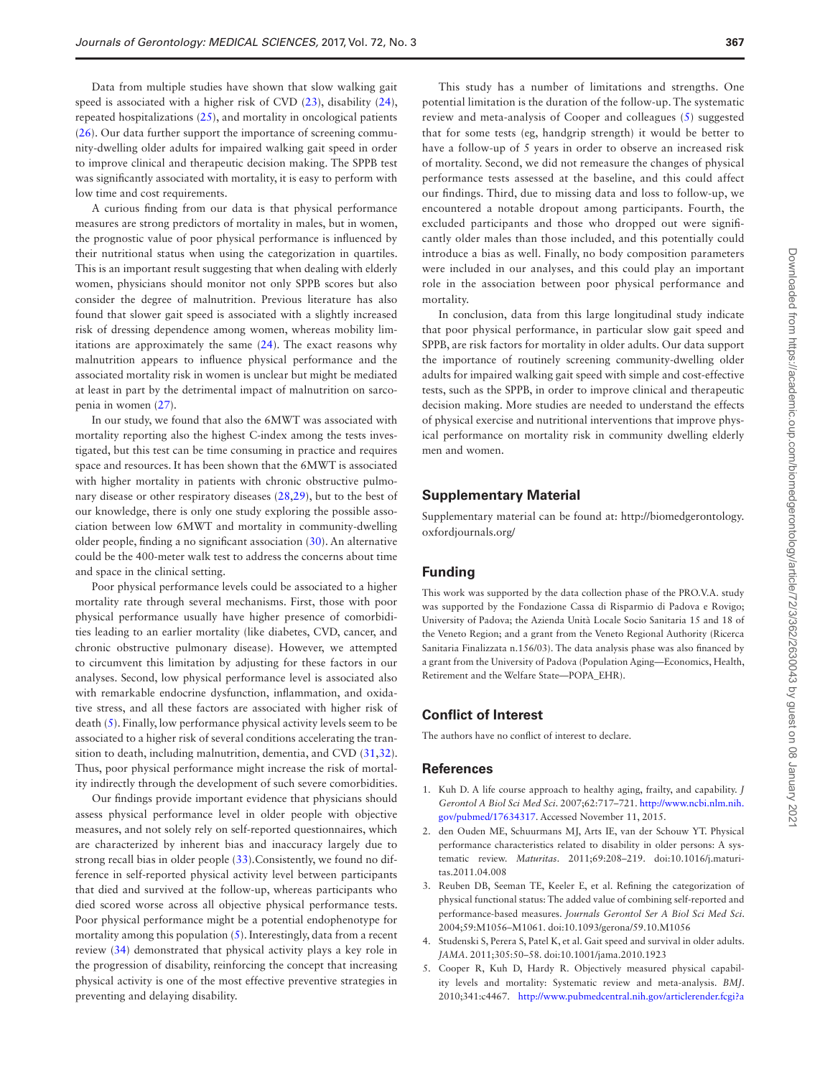Data from multiple studies have shown that slow walking gait speed is associated with a higher risk of CVD ([23\)](#page-6-12), disability [\(24](#page-6-13)), repeated hospitalizations [\(25](#page-6-14)), and mortality in oncological patients [\(26](#page-6-15)). Our data further support the importance of screening community-dwelling older adults for impaired walking gait speed in order to improve clinical and therapeutic decision making. The SPPB test was significantly associated with mortality, it is easy to perform with low time and cost requirements.

A curious finding from our data is that physical performance measures are strong predictors of mortality in males, but in women, the prognostic value of poor physical performance is influenced by their nutritional status when using the categorization in quartiles. This is an important result suggesting that when dealing with elderly women, physicians should monitor not only SPPB scores but also consider the degree of malnutrition. Previous literature has also found that slower gait speed is associated with a slightly increased risk of dressing dependence among women, whereas mobility limitations are approximately the same [\(24](#page-6-13)). The exact reasons why malnutrition appears to influence physical performance and the associated mortality risk in women is unclear but might be mediated at least in part by the detrimental impact of malnutrition on sarcopenia in women ([27\)](#page-6-16).

In our study, we found that also the 6MWT was associated with mortality reporting also the highest C-index among the tests investigated, but this test can be time consuming in practice and requires space and resources. It has been shown that the 6MWT is associated with higher mortality in patients with chronic obstructive pulmonary disease or other respiratory diseases ([28,](#page-6-17)[29\)](#page-6-18), but to the best of our knowledge, there is only one study exploring the possible association between low 6MWT and mortality in community-dwelling older people, finding a no significant association ([30](#page-6-19)). An alternative could be the 400-meter walk test to address the concerns about time and space in the clinical setting.

Poor physical performance levels could be associated to a higher mortality rate through several mechanisms. First, those with poor physical performance usually have higher presence of comorbidities leading to an earlier mortality (like diabetes, CVD, cancer, and chronic obstructive pulmonary disease). However, we attempted to circumvent this limitation by adjusting for these factors in our analyses. Second, low physical performance level is associated also with remarkable endocrine dysfunction, inflammation, and oxidative stress, and all these factors are associated with higher risk of death [\(5\)](#page-5-4). Finally, low performance physical activity levels seem to be associated to a higher risk of several conditions accelerating the transition to death, including malnutrition, dementia, and CVD [\(31](#page-6-20)[,32](#page-6-21)). Thus, poor physical performance might increase the risk of mortality indirectly through the development of such severe comorbidities.

Our findings provide important evidence that physicians should assess physical performance level in older people with objective measures, and not solely rely on self-reported questionnaires, which are characterized by inherent bias and inaccuracy largely due to strong recall bias in older people [\(33](#page-6-22)).Consistently, we found no difference in self-reported physical activity level between participants that died and survived at the follow-up, whereas participants who died scored worse across all objective physical performance tests. Poor physical performance might be a potential endophenotype for mortality among this population  $(5)$ . Interestingly, data from a recent review ([34\)](#page-6-23) demonstrated that physical activity plays a key role in the progression of disability, reinforcing the concept that increasing physical activity is one of the most effective preventive strategies in preventing and delaying disability.

This study has a number of limitations and strengths. One potential limitation is the duration of the follow-up. The systematic review and meta-analysis of Cooper and colleagues ([5](#page-5-4)) suggested that for some tests (eg, handgrip strength) it would be better to have a follow-up of 5 years in order to observe an increased risk of mortality. Second, we did not remeasure the changes of physical performance tests assessed at the baseline, and this could affect our findings. Third, due to missing data and loss to follow-up, we encountered a notable dropout among participants. Fourth, the excluded participants and those who dropped out were significantly older males than those included, and this potentially could introduce a bias as well. Finally, no body composition parameters were included in our analyses, and this could play an important role in the association between poor physical performance and mortality.

In conclusion, data from this large longitudinal study indicate that poor physical performance, in particular slow gait speed and SPPB, are risk factors for mortality in older adults. Our data support the importance of routinely screening community-dwelling older adults for impaired walking gait speed with simple and cost-effective tests, such as the SPPB, in order to improve clinical and therapeutic decision making. More studies are needed to understand the effects of physical exercise and nutritional interventions that improve physical performance on mortality risk in community dwelling elderly men and women.

# **Supplementary Material**

Supplementary material can be found at: http://biomedgerontology. oxfordjournals.org/

# **Funding**

This work was supported by the data collection phase of the PRO.V.A. study was supported by the Fondazione Cassa di Risparmio di Padova e Rovigo; University of Padova; the Azienda Unità Locale Socio Sanitaria 15 and 18 of the Veneto Region; and a grant from the Veneto Regional Authority (Ricerca Sanitaria Finalizzata n.156/03). The data analysis phase was also financed by a grant from the University of Padova (Population Aging—Economics, Health, Retirement and the Welfare State—POPA\_EHR).

## **Conflict of Interest**

The authors have no conflict of interest to declare.

## **References**

- <span id="page-5-0"></span>1. Kuh D. A life course approach to healthy aging, frailty, and capability. *J Gerontol A Biol Sci Med Sci*. 2007;62:717–721. [http://www.ncbi.nlm.nih.](http://www.ncbi.nlm.nih.gov/pubmed/17634317) [gov/pubmed/17634317](http://www.ncbi.nlm.nih.gov/pubmed/17634317). Accessed November 11, 2015.
- <span id="page-5-1"></span>2. den Ouden ME, Schuurmans MJ, Arts IE, van der Schouw YT. Physical performance characteristics related to disability in older persons: A systematic review. *Maturitas*. 2011;69:208–219. doi:10.1016/j.maturitas.2011.04.008
- <span id="page-5-2"></span>3. Reuben DB, Seeman TE, Keeler E, et al. Refining the categorization of physical functional status: The added value of combining self-reported and performance-based measures. *Journals Gerontol Ser A Biol Sci Med Sci*. 2004;59:M1056–M1061. doi:10.1093/gerona/59.10.M1056
- <span id="page-5-3"></span>4. Studenski S, Perera S, Patel K, et al. Gait speed and survival in older adults. *JAMA*. 2011;305:50–58. doi:10.1001/jama.2010.1923
- <span id="page-5-4"></span>5. Cooper R, Kuh D, Hardy R. Objectively measured physical capability levels and mortality: Systematic review and meta-analysis. *BMJ*. 2010;341:c4467. [http://www.pubmedcentral.nih.gov/articlerender.fcgi?a](http://www.pubmedcentral.nih.gov/articlerender.fcgi?artid=2938886&tool=pmcentrez&rendertype=abstract)